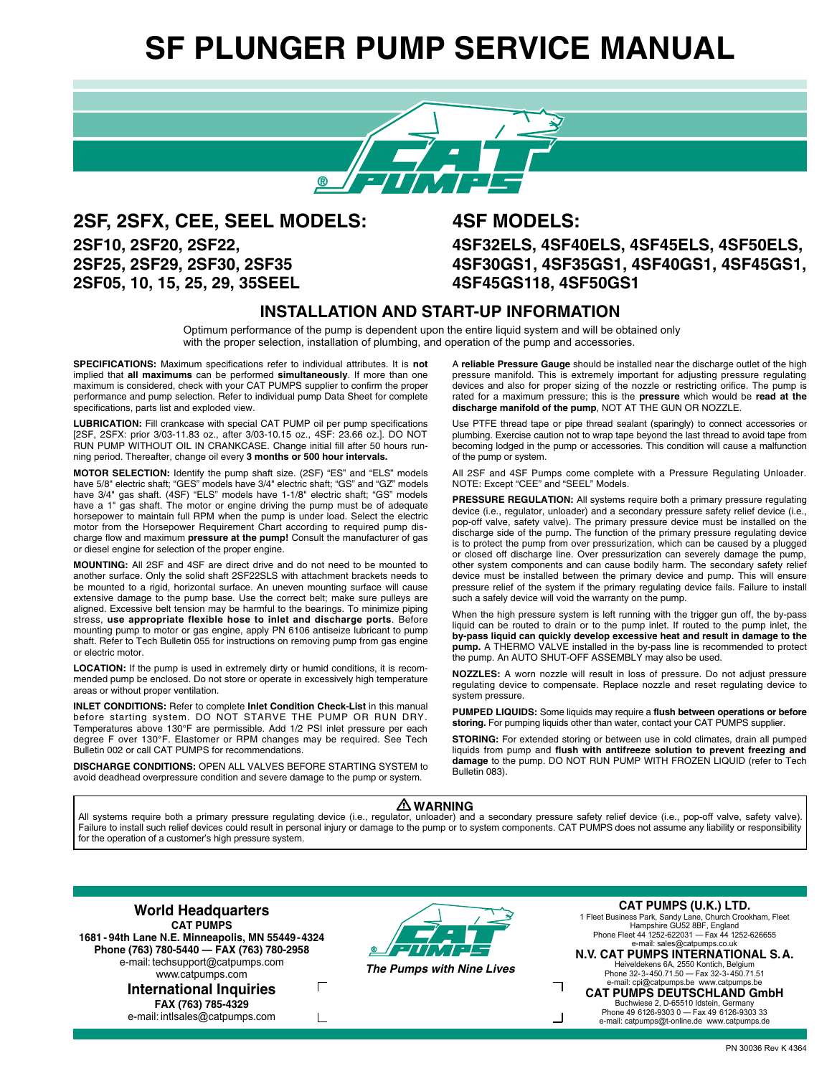# **SF PLUNGER PUMP SERVICE MANUAL**



**2SF, 2SFX, CEE, SEEL MODELS: 4SF MODELS: 2SF05, 10, 15, 25, 29, 35SEEL 4SF45GS118, 4SF50GS1**

**2SF10, 2SF20, 2SF22, 4SF32ELS, 4SF40ELS, 4SF45ELS, 4SF50ELS, 2SF25, 2SF29, 2SF30, 2SF35 4SF30GS1, 4SF35GS1, 4SF40GS1, 4SF45GS1,**

#### **INSTALLATION AND START-UP INFORMATION**

Optimum performance of the pump is dependent upon the entire liquid system and will be obtained only with the proper selection, installation of plumbing, and operation of the pump and accessories.

**SPECIFICATIONS:** Maximum specifications refer to individual attributes. It is **not** implied that **all maximums** can be performed **simultaneously**. If more than one maximum is considered, check with your CAT PUMPS supplier to confirm the proper performance and pump selection. Refer to individual pump Data Sheet for complete specifications, parts list and exploded view.

**LUBRICATION:** Fill crankcase with special CAT PUMP oil per pump specifications [2SF, 2SFX: prior 3/03-11.83 oz., after 3/03-10.15 oz., 4SF: 23.66 oz.]. DO NOT RUN PUMP WITHOUT OIL IN CRANKCASE. Change initial fill after 50 hours running period. Thereafter, change oil every **3 months or 500 hour intervals.**

**MOTOR SELECTION:** Identify the pump shaft size. (2SF) "ES" and "ELS" models have 5/8" electric shaft; "GES" models have 3/4" electric shaft; "GS" and "GZ" models have 3/4" gas shaft. (4SF) "ELS" models have 1-1/8" electric shaft; "GS" models have a 1" gas shaft. The motor or engine driving the pump must be of adequate horsepower to maintain full RPM when the pump is under load. Select the electric motor from the Horsepower Requirement Chart according to required pump discharge flow and maximum **pressure at the pump!** Consult the manufacturer of gas or diesel engine for selection of the proper engine.

**MOUNTING:** All 2SF and 4SF are direct drive and do not need to be mounted to another surface. Only the solid shaft 2SF22SLS with attachment brackets needs to be mounted to a rigid, horizontal surface. An uneven mounting surface will cause extensive damage to the pump base. Use the correct belt; make sure pulleys are aligned. Excessive belt tension may be harmful to the bearings. To minimize piping stress, **use appropriate flexible hose to inlet and discharge ports**. Before mounting pump to motor or gas engine, apply PN 6106 antiseize lubricant to pump shaft. Refer to Tech Bulletin 055 for instructions on removing pump from gas engine or electric motor.

**LOCATION:** If the pump is used in extremely dirty or humid conditions, it is recommended pump be enclosed. Do not store or operate in excessively high temperature areas or without proper ventilation.

**INLET CONDITIONS:** Refer to complete **Inlet Condition Check-List** in this manual before starting system. DO NOT STARVE THE PUMP OR RUN DRY. Temperatures above 130°F are permissible. Add 1/2 PSI inlet pressure per each degree F over 130°F. Elastomer or RPM changes may be required. See Tech Bulletin 002 or call CAT PUMPS for recommendations.

**DISCHARGE CONDITIONS:** OPEN ALL VALVES BEFORE STARTING SYSTEM to avoid deadhead overpressure condition and severe damage to the pump or system.

A **reliable Pressure Gauge** should be installed near the discharge outlet of the high pressure manifold. This is extremely important for adjusting pressure regulating devices and also for proper sizing of the nozzle or restricting orifice. The pump is rated for a maximum pressure; this is the **pressure** which would be **read at the discharge manifold of the pump**, NOT AT THE GUN OR NOZZLE.

Use PTFE thread tape or pipe thread sealant (sparingly) to connect accessories or plumbing. Exercise caution not to wrap tape beyond the last thread to avoid tape from becoming lodged in the pump or accessories. This condition will cause a malfunction of the pump or system.

All 2SF and 4SF Pumps come complete with a Pressure Regulating Unloader. NOTE: Except "CEE" and "SEEL" Models.

**PRESSURE REGULATION:** All systems require both a primary pressure regulating device (i.e., regulator, unloader) and a secondary pressure safety relief device (i.e., pop-off valve, safety valve). The primary pressure device must be installed on the discharge side of the pump. The function of the primary pressure regulating device is to protect the pump from over pressurization, which can be caused by a plugged or closed off discharge line. Over pressurization can severely damage the pump, other system components and can cause bodily harm. The secondary safety relief device must be installed between the primary device and pump. This will ensure pressure relief of the system if the primary regulating device fails. Failure to install such a safely device will void the warranty on the pump.

When the high pressure system is left running with the trigger gun off, the by-pass liquid can be routed to drain or to the pump inlet. If routed to the pump inlet, the **by-pass liquid can quickly develop excessive heat and result in damage to the pump.** A THERMO VALVE installed in the by-pass line is recommended to protect the pump. An AUTO SHUT-OFF ASSEMBLY may also be used.

**NOZZLES:** A worn nozzle will result in loss of pressure. Do not adjust pressure regulating device to compensate. Replace nozzle and reset regulating device to system pressure.

**PUMPED LIQUIDS:** Some liquids may require a **flush between operations or before storing.** For pumping liquids other than water, contact your CAT PUMPS supplier.

**STORING:** For extended storing or between use in cold climates, drain all pumped liquids from pump and **flush with antifreeze solution to prevent freezing and damage** to the pump. DO NOT RUN PUMP WITH FROZEN LIQUID (refer to Tech Bulletin 083).

┑

コ

#### **WARNING**

All systems require both a primary pressure regulating device (i.e., regulator, unloader) and a secondary pressure safety relief device (i.e., pop-off valve, safety valve). Failure to install such relief devices could result in personal injury or damage to the pump or to system components. CAT PUMPS does not assume any liability or responsibility for the operation of a customer's high pressure system.

**World Headquarters CAT PUMPS 1681 - 94th Lane N.E. Minneapolis, MN 55449-4324 Phone (763) 780-5440 — FAX (763) 780-2958** e-mail: techsupport@catpumps.com www.catpumps.com  $\Gamma$ **International Inquiries**

**FAX (763) 785-4329** e-mail: intlsales@catpumps.com

 $\sqcup$ 



**The Pumps with Nine Lives**

**CAT PUMPS (U.K.) LTD.**

1 Fleet Business Park, Sandy Lane, Church Crookham, Fleet Hampshire GU52 8BF, England Phone Fleet 44 1252-622031 — Fax 44 1252-626655 e-mail: sales@catpumps.co.uk

**N.V. CAT PUMPS INTERNATIONAL S.A.** Heiveldekens 6A, 2550 Kontich, Belgium Phone 32-3-450.71.50 — Fax 32-3-450.71.51

e-mail: cpi@catpumps.be www.catpumps.b **CAT PUMPS DEUTSCHLAND GmbH**

Buchwiese 2, D-65510 Idstein, Germany Phone 49 6126-9303 0 — Fax 49 6126-9303 33 e-mail: catpumps@t-online.de www.catpumps.de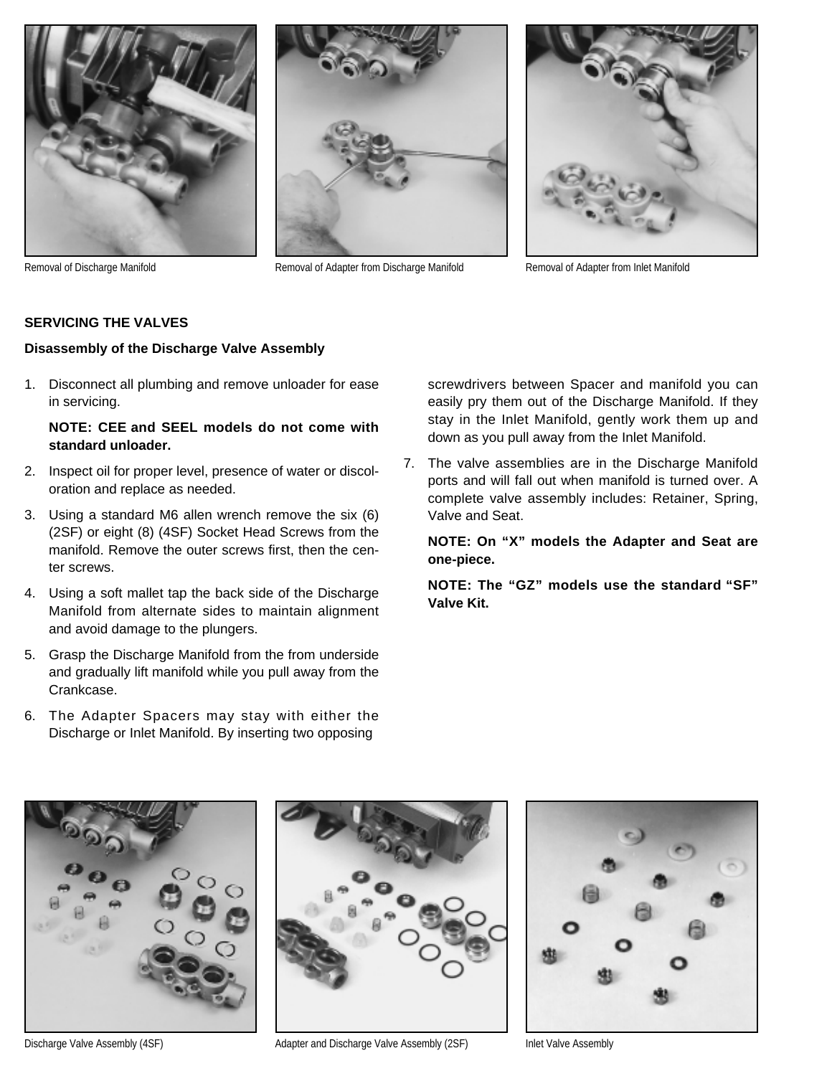



Removal of Discharge Manifold **Removal of Adapter from Discharge Manifold** Removal of Adapter from Inlet Manifold



#### **SERVICING THE VALVES**

#### **Disassembly of the Discharge Valve Assembly**

1. Disconnect all plumbing and remove unloader for ease in servicing.

#### **NOTE: CEE and SEEL models do not come with standard unloader.**

- 2. Inspect oil for proper level, presence of water or discoloration and replace as needed.
- 3. Using a standard M6 allen wrench remove the six (6) (2SF) or eight (8) (4SF) Socket Head Screws from the manifold. Remove the outer screws first, then the center screws.
- 4. Using a soft mallet tap the back side of the Discharge Manifold from alternate sides to maintain alignment and avoid damage to the plungers.
- 5. Grasp the Discharge Manifold from the from underside and gradually lift manifold while you pull away from the Crankcase.
- 6. The Adapter Spacers may stay with either the Discharge or Inlet Manifold. By inserting two opposing

screwdrivers between Spacer and manifold you can easily pry them out of the Discharge Manifold. If they stay in the Inlet Manifold, gently work them up and down as you pull away from the Inlet Manifold.

7. The valve assemblies are in the Discharge Manifold ports and will fall out when manifold is turned over. A complete valve assembly includes: Retainer, Spring, Valve and Seat.

#### **NOTE: On "X" models the Adapter and Seat are one-piece.**

**NOTE: The "GZ" models use the standard "SF" Valve Kit.**



Discharge Valve Assembly (4SF) Andapter and Discharge Valve Assembly (2SF) Inlet Valve Assembly (2SF)

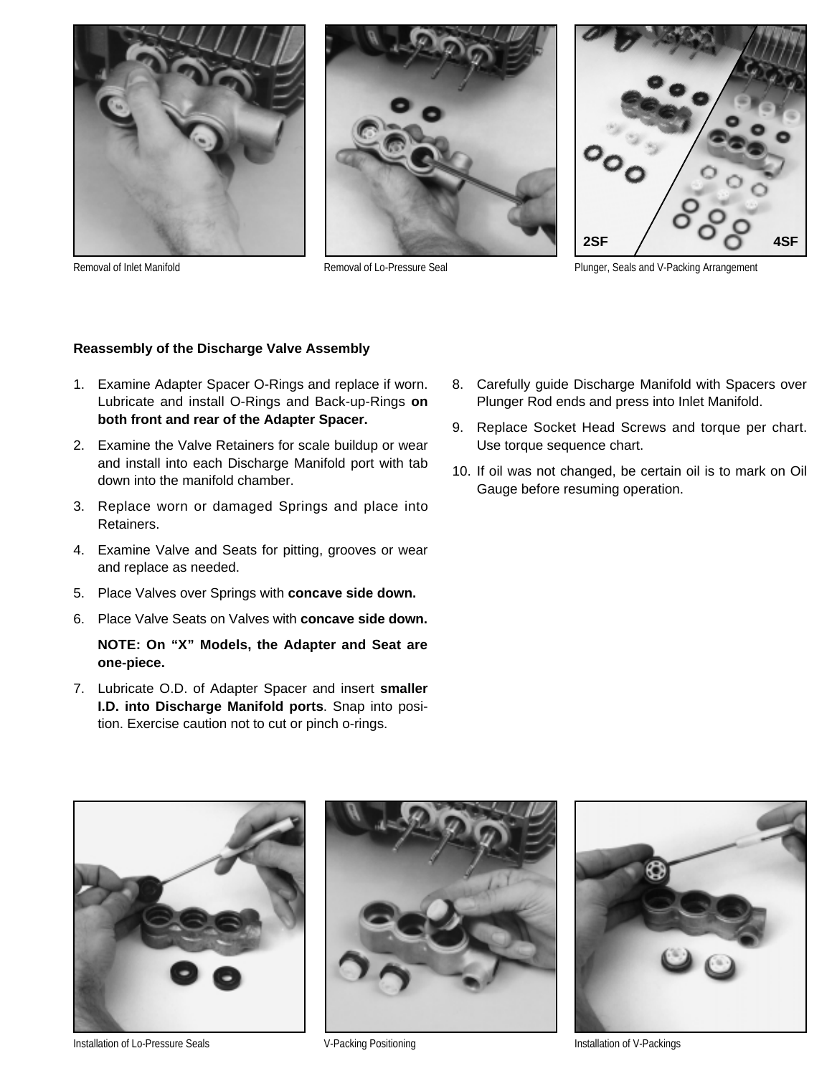





Removal of Inlet Manifold **Removal of Lo-Pressure Seal** Plunger, Seals and V-Packing Arrangement

#### **Reassembly of the Discharge Valve Assembly**

- 1. Examine Adapter Spacer O-Rings and replace if worn. Lubricate and install O-Rings and Back-up-Rings **on both front and rear of the Adapter Spacer.**
- 2. Examine the Valve Retainers for scale buildup or wear and install into each Discharge Manifold port with tab down into the manifold chamber.
- 3. Replace worn or damaged Springs and place into Retainers.
- 4. Examine Valve and Seats for pitting, grooves or wear and replace as needed.
- 5. Place Valves over Springs with **concave side down.**
- 6. Place Valve Seats on Valves with **concave side down.**

#### **NOTE: On "X" Models, the Adapter and Seat are one-piece.**

7. Lubricate O.D. of Adapter Spacer and insert **smaller I.D. into Discharge Manifold ports**. Snap into position. Exercise caution not to cut or pinch o-rings.

- 8. Carefully guide Discharge Manifold with Spacers over Plunger Rod ends and press into Inlet Manifold.
- 9. Replace Socket Head Screws and torque per chart. Use torque sequence chart.
- 10. If oil was not changed, be certain oil is to mark on Oil Gauge before resuming operation.



Installation of Lo-Pressure Seals **Installation of V-Packing Positioning** Installation of V-Packings Installation of V-Packings



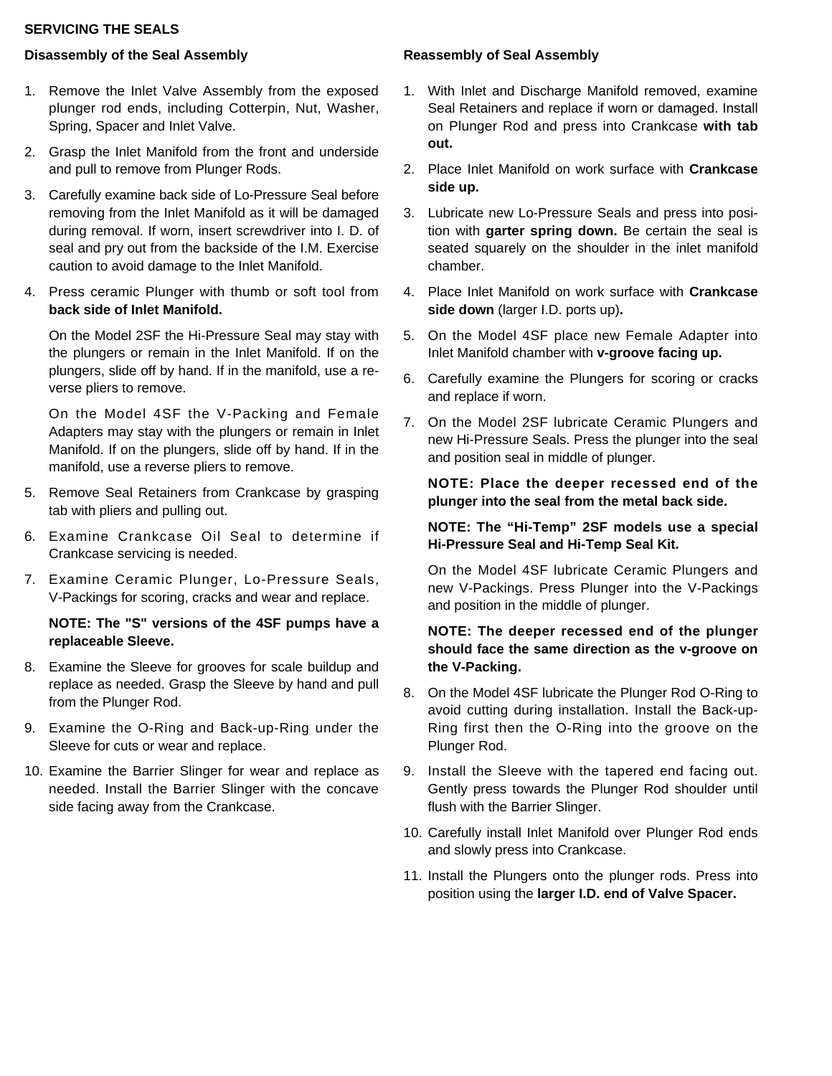#### **SERVICING THE SEALS**

#### **Disassembly of the Seal Assembly**

- 1. Remove the Inlet Valve Assembly from the exposed plunger rod ends, including Cotterpin, Nut, Washer, Spring, Spacer and Inlet Valve.
- 2. Grasp the Inlet Manifold from the front and underside and pull to remove from Plunger Rods.
- 3. Carefully examine back side of Lo-Pressure Seal before removing from the Inlet Manifold as it will be damaged during removal. If worn, insert screwdriver into I. D. of seal and pry out from the backside of the I.M. Exercise caution to avoid damage to the Inlet Manifold.
- 4. Press ceramic Plunger with thumb or soft tool from **back side of Inlet Manifold.**

On the Model 2SF the Hi-Pressure Seal may stay with the plungers or remain in the Inlet Manifold. If on the plungers, slide off by hand. If in the manifold, use a reverse pliers to remove.

On the Model 4SF the V-Packing and Female Adapters may stay with the plungers or remain in Inlet Manifold. If on the plungers, slide off by hand. If in the manifold, use a reverse pliers to remove.

- 5. Remove Seal Retainers from Crankcase by grasping tab with pliers and pulling out.
- 6. Examine Crankcase Oil Seal to determine if Crankcase servicing is needed.
- 7. Examine Ceramic Plunger, Lo-Pressure Seals, V-Packings for scoring, cracks and wear and replace.

#### **NOTE: The "S" versions of the 4SF pumps have a replaceable Sleeve.**

- 8. Examine the Sleeve for grooves for scale buildup and replace as needed. Grasp the Sleeve by hand and pull from the Plunger Rod.
- 9. Examine the O-Ring and Back-up-Ring under the Sleeve for cuts or wear and replace.
- 10. Examine the Barrier Slinger for wear and replace as needed. Install the Barrier Slinger with the concave side facing away from the Crankcase.

#### **Reassembly of Seal Assembly**

- 1. With Inlet and Discharge Manifold removed, examine Seal Retainers and replace if worn or damaged. Install on Plunger Rod and press into Crankcase **with tab out.**
- 2. Place Inlet Manifold on work surface with **Crankcase side up.**
- 3. Lubricate new Lo-Pressure Seals and press into position with **garter spring down.** Be certain the seal is seated squarely on the shoulder in the inlet manifold chamber.
- 4. Place Inlet Manifold on work surface with **Crankcase side down** (larger I.D. ports up)**.**
- 5. On the Model 4SF place new Female Adapter into Inlet Manifold chamber with **v-groove facing up.**
- 6. Carefully examine the Plungers for scoring or cracks and replace if worn.
- 7. On the Model 2SF lubricate Ceramic Plungers and new Hi-Pressure Seals. Press the plunger into the seal and position seal in middle of plunger.

#### **NOTE: Place the deeper recessed end of the plunger into the seal from the metal back side.**

#### **NOTE: The "Hi-Temp" 2SF models use a special Hi-Pressure Seal and Hi-Temp Seal Kit.**

On the Model 4SF lubricate Ceramic Plungers and new V-Packings. Press Plunger into the V-Packings and position in the middle of plunger.

#### **NOTE: The deeper recessed end of the plunger should face the same direction as the v-groove on the V-Packing.**

- 8. On the Model 4SF lubricate the Plunger Rod O-Ring to avoid cutting during installation. Install the Back-up-Ring first then the O-Ring into the groove on the Plunger Rod.
- 9. Install the Sleeve with the tapered end facing out. Gently press towards the Plunger Rod shoulder until flush with the Barrier Slinger.
- 10. Carefully install Inlet Manifold over Plunger Rod ends and slowly press into Crankcase.
- 11. Install the Plungers onto the plunger rods. Press into position using the **larger I.D. end of Valve Spacer.**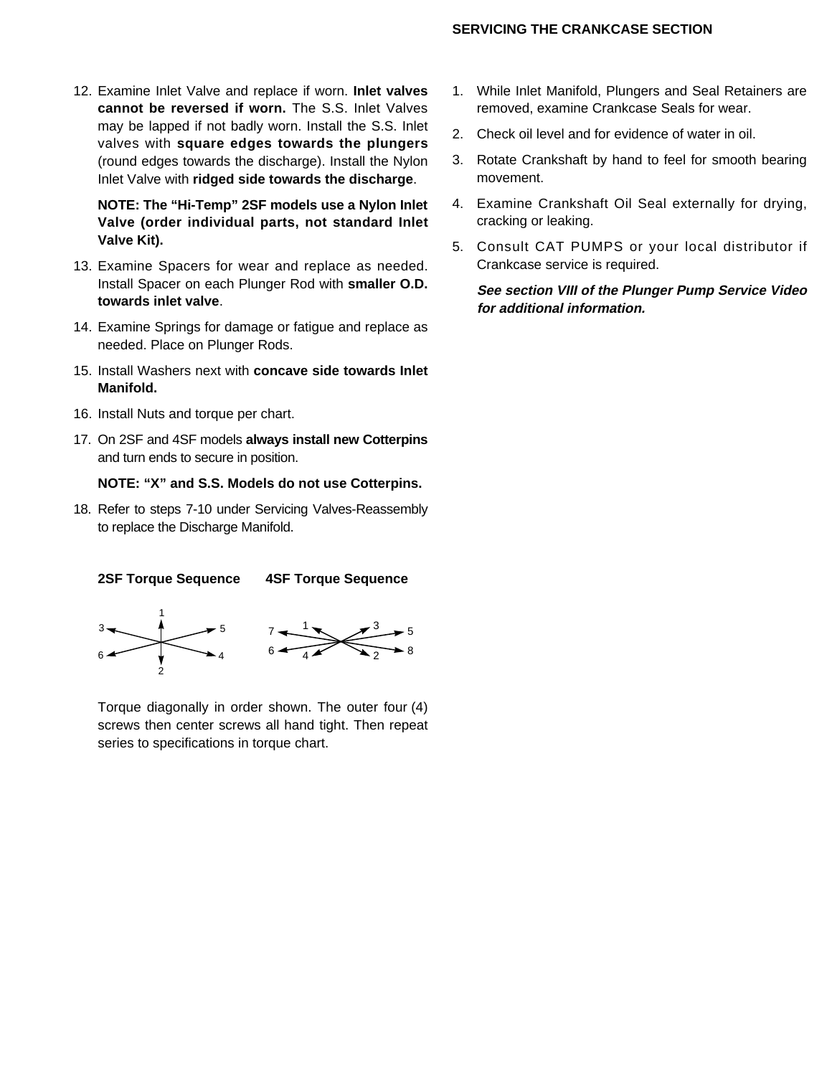#### **SERVICING THE CRANKCASE SECTION**

12. Examine Inlet Valve and replace if worn. **Inlet valves cannot be reversed if worn.** The S.S. Inlet Valves may be lapped if not badly worn. Install the S.S. Inlet valves with **square edges towards the plungers** (round edges towards the discharge). Install the Nylon Inlet Valve with **ridged side towards the discharge**.

**NOTE: The "Hi-Temp" 2SF models use a Nylon Inlet Valve (order individual parts, not standard Inlet Valve Kit).**

- 13. Examine Spacers for wear and replace as needed. Install Spacer on each Plunger Rod with **smaller O.D. towards inlet valve**.
- 14. Examine Springs for damage or fatigue and replace as needed. Place on Plunger Rods.
- 15. Install Washers next with **concave side towards Inlet Manifold.**
- 16. Install Nuts and torque per chart.

2

17. On 2SF and 4SF models **always install new Cotterpins** and turn ends to secure in position.

#### **NOTE: "X" and S.S. Models do not use Cotterpins.**

18. Refer to steps 7-10 under Servicing Valves-Reassembly to replace the Discharge Manifold.



Torque diagonally in order shown. The outer four (4) screws then center screws all hand tight. Then repeat series to specifications in torque chart.

- 1. While Inlet Manifold, Plungers and Seal Retainers are removed, examine Crankcase Seals for wear.
- 2. Check oil level and for evidence of water in oil.
- 3. Rotate Crankshaft by hand to feel for smooth bearing movement.
- 4. Examine Crankshaft Oil Seal externally for drying, cracking or leaking.
- 5. Consult CAT PUMPS or your local distributor if Crankcase service is required.

**See section VIII of the Plunger Pump Service Video for additional information.**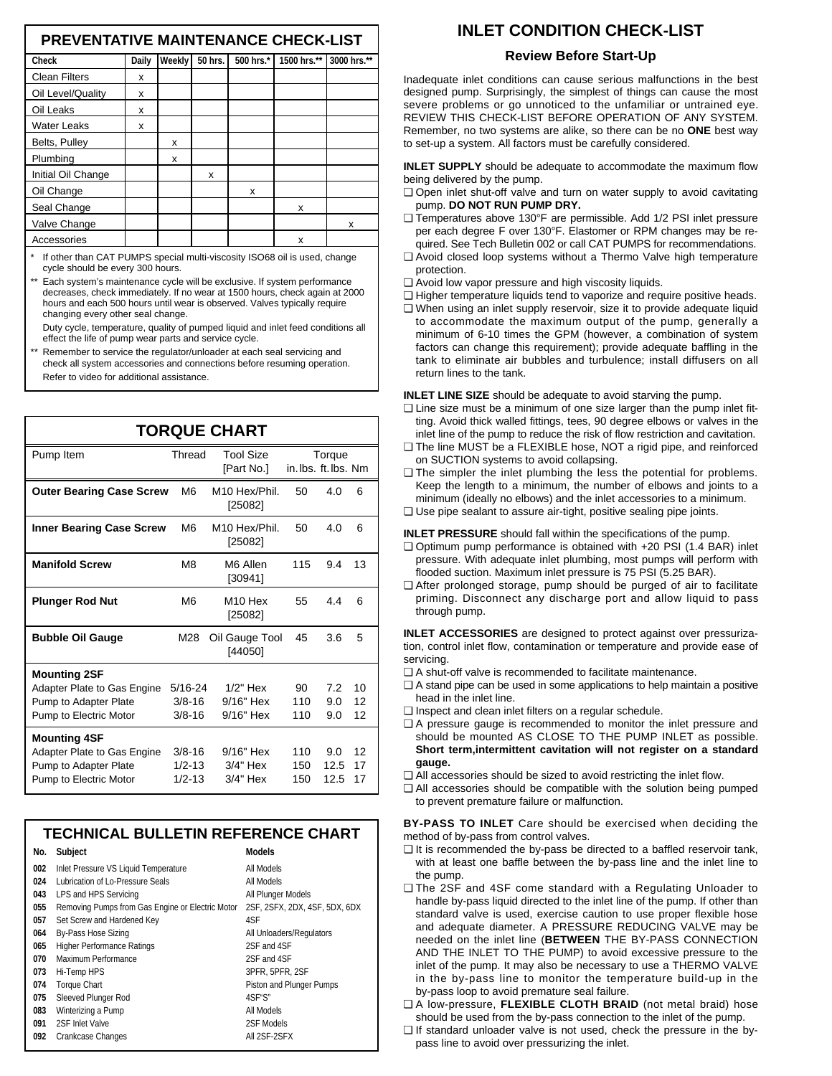#### **PREVENTATIVE MAINTENANCE CHECK-LIST**

| <b>Check</b>         | Daily | Weekly | 50 hrs. | 500 hrs.* | 1500 hrs.** | 3000 hrs.** |
|----------------------|-------|--------|---------|-----------|-------------|-------------|
| <b>Clean Filters</b> | x     |        |         |           |             |             |
| Oil Level/Quality    | x     |        |         |           |             |             |
| Oil Leaks            | x     |        |         |           |             |             |
| <b>Water Leaks</b>   | x     |        |         |           |             |             |
| Belts, Pulley        |       | x      |         |           |             |             |
| Plumbing             |       | x      |         |           |             |             |
| Initial Oil Change   |       |        | x       |           |             |             |
| Oil Change           |       |        |         | x         |             |             |
| Seal Change          |       |        |         |           | x           |             |
| Valve Change         |       |        |         |           |             | x           |
| Accessories          |       |        |         |           | x           |             |
|                      |       |        |         |           |             |             |

If other than CAT PUMPS special multi-viscosity ISO68 oil is used, change cycle should be every 300 hours.

Each system's maintenance cycle will be exclusive. If system performance decreases, check immediately. If no wear at 1500 hours, check again at 2000 hours and each 500 hours until wear is observed. Valves typically require changing every other seal change.

Duty cycle, temperature, quality of pumped liquid and inlet feed conditions all effect the life of pump wear parts and service cycle.

Remember to service the regulator/unloader at each seal servicing and check all system accessories and connections before resuming operation. Refer to video for additional assistance.

| <b>TORQUE CHART</b>                                                                                   |                                         |                                      |                      |                     |                |  |  |
|-------------------------------------------------------------------------------------------------------|-----------------------------------------|--------------------------------------|----------------------|---------------------|----------------|--|--|
| Pump Item                                                                                             | Thread                                  | <b>Tool Size</b><br>[Part No.]       | in. lbs. ft. lbs. Nm | Torque              |                |  |  |
| <b>Outer Bearing Case Screw</b>                                                                       | M <sub>6</sub>                          | M10 Hex/Phil.<br>[25082]             | 50                   | 4.0                 | 6              |  |  |
| Inner Bearing Case Screw                                                                              | M <sub>6</sub>                          | M10 Hex/Phil.<br>[25082]             | 50                   | 4.0                 | 6              |  |  |
| <b>Manifold Screw</b>                                                                                 | M8                                      | M6 Allen<br>[30941]                  | 115                  | 9.4                 | 13             |  |  |
| <b>Plunger Rod Nut</b>                                                                                | M <sub>6</sub>                          | M <sub>10</sub> Hex<br>[25082]       | 55                   | 44                  | 6              |  |  |
| <b>Bubble Oil Gauge</b>                                                                               | M28                                     | Oil Gauge Tool<br>[44050]            | 45                   | 3.6                 | 5              |  |  |
| <b>Mounting 2SF</b><br>Adapter Plate to Gas Engine<br>Pump to Adapter Plate<br>Pump to Electric Motor | $5/16 - 24$<br>$3/8 - 16$<br>$3/8 - 16$ | $1/2"$ Hex<br>9/16" Hex<br>9/16" Hex | 90<br>110<br>110     | 7.2<br>9.0<br>9.0   | 10<br>12<br>12 |  |  |
| <b>Mounting 4SF</b><br>Adapter Plate to Gas Engine<br>Pump to Adapter Plate<br>Pump to Electric Motor | $3/8 - 16$<br>$1/2 - 13$<br>$1/2 - 13$  | 9/16" Hex<br>$3/4"$ Hex<br>3/4" Hex  | 110<br>150<br>150    | 9.0<br>12.5<br>12.5 | 12<br>17<br>17 |  |  |

|     | <b>TECHNICAL BULLETIN REFERENCE CHART</b>        |                               |  |  |  |  |  |
|-----|--------------------------------------------------|-------------------------------|--|--|--|--|--|
| No. | <b>Subject</b>                                   | <b>Models</b>                 |  |  |  |  |  |
| 002 | Inlet Pressure VS Liquid Temperature             | All Models                    |  |  |  |  |  |
| 024 | Lubrication of Lo-Pressure Seals                 | All Models                    |  |  |  |  |  |
| 043 | LPS and HPS Servicing                            | All Plunger Models            |  |  |  |  |  |
| 055 | Removing Pumps from Gas Engine or Electric Motor | 2SF, 2SFX, 2DX, 4SF, 5DX, 6DX |  |  |  |  |  |
| 057 | Set Screw and Hardened Key                       | 4SF                           |  |  |  |  |  |
| 064 | By-Pass Hose Sizing                              | All Unloaders/Regulators      |  |  |  |  |  |
| 065 | <b>Higher Performance Ratings</b>                | 2SF and 4SF                   |  |  |  |  |  |
| 070 | Maximum Performance                              | 2SF and 4SF                   |  |  |  |  |  |
| 073 | Hi-Temp HPS                                      | 3PFR, 5PFR, 2SF               |  |  |  |  |  |
| 074 | <b>Torque Chart</b>                              | Piston and Plunger Pumps      |  |  |  |  |  |
| 075 | Sleeved Plunger Rod                              | 4SF"S"                        |  |  |  |  |  |
| 083 | Winterizing a Pump                               | All Models                    |  |  |  |  |  |
| 091 | 2SF Inlet Valve                                  | 2SF Models                    |  |  |  |  |  |
| 092 | Crankcase Changes                                | All 2SF-2SFX                  |  |  |  |  |  |

### **INLET CONDITION CHECK-LIST**

#### **Review Before Start-Up**

Inadequate inlet conditions can cause serious malfunctions in the best designed pump. Surprisingly, the simplest of things can cause the most severe problems or go unnoticed to the unfamiliar or untrained eye. REVIEW THIS CHECK-LIST BEFORE OPERATION OF ANY SYSTEM. Remember, no two systems are alike, so there can be no **ONE** best way to set-up a system. All factors must be carefully considered.

**INLET SUPPLY** should be adequate to accommodate the maximum flow being delivered by the pump.

- ❏ Open inlet shut-off valve and turn on water supply to avoid cavitating pump. **DO NOT RUN PUMP DRY.**
- ❏ Temperatures above 130°F are permissible. Add 1/2 PSI inlet pressure per each degree F over 130°F. Elastomer or RPM changes may be required. See Tech Bulletin 002 or call CAT PUMPS for recommendations.
- ❏ Avoid closed loop systems without a Thermo Valve high temperature protection.
- ❏ Avoid low vapor pressure and high viscosity liquids.
- ❏ Higher temperature liquids tend to vaporize and require positive heads.
- ❏ When using an inlet supply reservoir, size it to provide adequate liquid to accommodate the maximum output of the pump, generally a minimum of 6-10 times the GPM (however, a combination of system factors can change this requirement); provide adequate baffling in the tank to eliminate air bubbles and turbulence; install diffusers on all return lines to the tank.

**INLET LINE SIZE** should be adequate to avoid starving the pump.

- ❏ Line size must be a minimum of one size larger than the pump inlet fitting. Avoid thick walled fittings, tees, 90 degree elbows or valves in the inlet line of the pump to reduce the risk of flow restriction and cavitation.
- ❏ The line MUST be a FLEXIBLE hose, NOT a rigid pipe, and reinforced on SUCTION systems to avoid collapsing.
- ❏ The simpler the inlet plumbing the less the potential for problems. Keep the length to a minimum, the number of elbows and joints to a minimum (ideally no elbows) and the inlet accessories to a minimum.
- ❏ Use pipe sealant to assure air-tight, positive sealing pipe joints.

**INLET PRESSURE** should fall within the specifications of the pump.

- ❏ Optimum pump performance is obtained with +20 PSI (1.4 BAR) inlet pressure. With adequate inlet plumbing, most pumps will perform with flooded suction. Maximum inlet pressure is 75 PSI (5.25 BAR).
- ❏ After prolonged storage, pump should be purged of air to facilitate priming. Disconnect any discharge port and allow liquid to pass through pump.

**INLET ACCESSORIES** are designed to protect against over pressurization, control inlet flow, contamination or temperature and provide ease of servicing.

- ❏ A shut-off valve is recommended to facilitate maintenance.
- ❏ A stand pipe can be used in some applications to help maintain a positive head in the inlet line.
- ❏ Inspect and clean inlet filters on a regular schedule.
- ❏ A pressure gauge is recommended to monitor the inlet pressure and should be mounted AS CLOSE TO THE PUMP INLET as possible. **Short term,intermittent cavitation will not register on a standard gauge.**
- ❏ All accessories should be sized to avoid restricting the inlet flow.
- ❏ All accessories should be compatible with the solution being pumped to prevent premature failure or malfunction.

**BY-PASS TO INLET** Care should be exercised when deciding the method of by-pass from control valves.

- ❏ It is recommended the by-pass be directed to a baffled reservoir tank, with at least one baffle between the by-pass line and the inlet line to the pump.
- ❏ The 2SF and 4SF come standard with a Regulating Unloader to handle by-pass liquid directed to the inlet line of the pump. If other than standard valve is used, exercise caution to use proper flexible hose and adequate diameter. A PRESSURE REDUCING VALVE may be needed on the inlet line (**BETWEEN** THE BY-PASS CONNECTION AND THE INLET TO THE PUMP) to avoid excessive pressure to the inlet of the pump. It may also be necessary to use a THERMO VALVE in the by-pass line to monitor the temperature build-up in the by-pass loop to avoid premature seal failure.
- ❏ A low-pressure, **FLEXIBLE CLOTH BRAID** (not metal braid) hose should be used from the by-pass connection to the inlet of the pump.
- ❏ If standard unloader valve is not used, check the pressure in the bypass line to avoid over pressurizing the inlet.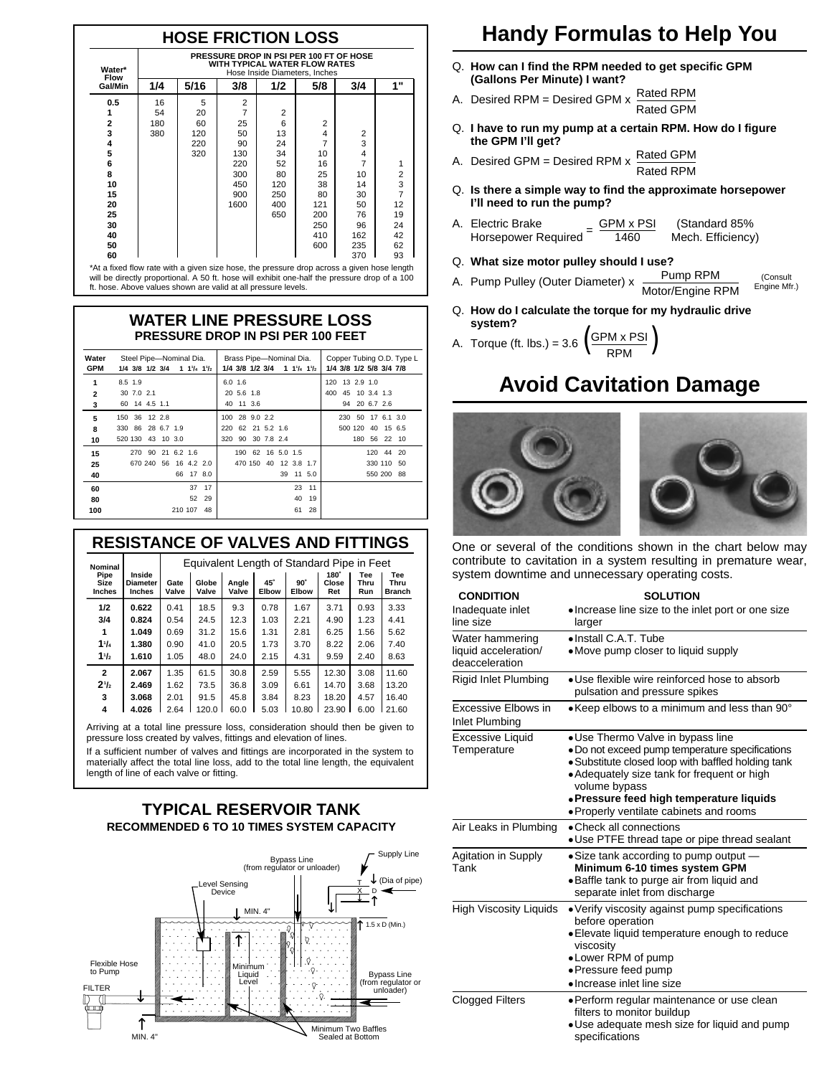|  |  | <b>HOSE FRICTION LOSS</b> |  |
|--|--|---------------------------|--|
|  |  |                           |  |

| Water*<br><b>Flow</b>                                                                      | PRESSURE DROP IN PSI PER 100 FT OF HOSE<br>WITH TYPICAL WATER FLOW RATES<br>Hose Inside Diameters, Inches |      |                |     |     |     |                |
|--------------------------------------------------------------------------------------------|-----------------------------------------------------------------------------------------------------------|------|----------------|-----|-----|-----|----------------|
| Gal/Min                                                                                    | 1/4                                                                                                       | 5/16 | 3/8            | 1/2 | 5/8 | 3/4 | 1"             |
| 0.5                                                                                        | 16                                                                                                        | 5    | 2              |     |     |     |                |
| 1                                                                                          | 54                                                                                                        | 20   | $\overline{7}$ | 2   |     |     |                |
| 2                                                                                          | 180                                                                                                       | 60   | 25             | 6   | 2   |     |                |
| 3                                                                                          | 380                                                                                                       | 120  | 50             | 13  | 4   | 2   |                |
| 4                                                                                          |                                                                                                           | 220  | 90             | 24  | 7   | 3   |                |
| 5                                                                                          |                                                                                                           | 320  | 130            | 34  | 10  | 4   |                |
| 6                                                                                          |                                                                                                           |      | 220            | 52  | 16  | 7   | 1              |
| 8                                                                                          |                                                                                                           |      | 300            | 80  | 25  | 10  | 2              |
| 10                                                                                         |                                                                                                           |      | 450            | 120 | 38  | 14  | 3              |
| 15                                                                                         |                                                                                                           |      | 900            | 250 | 80  | 30  | $\overline{7}$ |
| 20                                                                                         |                                                                                                           |      | 1600           | 400 | 121 | 50  | 12             |
| 25                                                                                         |                                                                                                           |      |                | 650 | 200 | 76  | 19             |
| 30                                                                                         |                                                                                                           |      |                |     | 250 | 96  | 24             |
| 40                                                                                         |                                                                                                           |      |                |     | 410 | 162 | 42             |
| 50                                                                                         |                                                                                                           |      |                |     | 600 | 235 | 62             |
| 60                                                                                         |                                                                                                           |      |                |     |     | 370 | 93             |
| *At a fixed flow rate with a given size hose, the pressure drop across a given hose length |                                                                                                           |      |                |     |     |     |                |

\*At a fixed flow rate with a given size hose, the pressure drop across a given hose length will be directly proportional. A 50 ft. hose will exhibit one-half the pressure drop of a 100 ft. hose. Above values shown are valid at all pressure levels.

#### **WATER LINE PRESSURE LOSS PRESSURE DROP IN PSI PER 100 FEET**

| Water<br><b>GPM</b>    | Steel Pipe-Nominal Dia.<br>$1/4$ 3/8 1/2 3/4 1 1 <sup>1</sup> / <sub>4</sub> 1 <sup>1</sup> / <sub>2</sub> | Brass Pipe-Nominal Dia.<br>$1/4$ 3/8 1/2 3/4 1 1 $\frac{1}{4}$ 1 $\frac{1}{2}$ | Copper Tubing O.D. Type L<br>1/4 3/8 1/2 5/8 3/4 7/8    |
|------------------------|------------------------------------------------------------------------------------------------------------|--------------------------------------------------------------------------------|---------------------------------------------------------|
| 1<br>$\mathbf{2}$<br>3 | $8.5$ 1.9<br>30 7.0 2.1<br>60 14 4.5 1.1                                                                   | $6.0$ 1.6<br>20 5.6 1.8<br>40 11 3.6                                           | 120 13 2.9 1.0<br>45 10 3.4 1.3<br>400<br>94 20 6.7 2.6 |
| 5<br>8<br>10           | 150 36 12 2.8<br>330 86 28 6.7 1.9<br>520 130 43 10 3.0                                                    | 28 9.0 2.2<br>100<br>220 62 21 5.2 1.6<br>90 30 7.8 2.4<br>320                 | 230 50 17 6.1 3.0<br>500 120 40 15 6.5<br>180 56 22 10  |
| 15<br>25<br>40         | 270 90 21 6.2 1.6<br>670 240 56 16 4.2 2.0<br>66 17 8.0                                                    | 190 62 16 5.0 1.5<br>470 150 40 12 3.8 1.7<br>39 11 5.0                        | 120 44 20<br>330 110 50<br>550 200 88                   |
| 60<br>80<br>100        | 17<br>37<br>29<br>52<br>210 107<br>48                                                                      | 11<br>23<br>19<br>40<br>28<br>61                                               |                                                         |

#### **RESISTANCE OF VALVES AND FITTINGS**

| Nominal                       |                                     |               |                |                |              | Equivalent Length of Standard Pipe in Feet |                             |                    |                       |
|-------------------------------|-------------------------------------|---------------|----------------|----------------|--------------|--------------------------------------------|-----------------------------|--------------------|-----------------------|
| Pipe<br>Size<br><b>Inches</b> | Inside<br>Diameter<br><b>Inches</b> | Gate<br>Valve | Globe<br>Valve | Angle<br>Valve | 45°<br>Elbow | 90°<br>Elbow                               | $180^\circ$<br>Close<br>Ret | Tee<br>Thru<br>Run | Tee<br>Thru<br>Branch |
| 1/2                           | 0.622                               | 0.41          | 18.5           | 9.3            | 0.78         | 1.67                                       | 3.71                        | 0.93               | 3.33                  |
| 3/4                           | 0.824                               | 0.54          | 24.5           | 12.3           | 1.03         | 2.21                                       | 4.90                        | 1.23               | 4.41                  |
| 1                             | 1.049                               | 0.69          | 31.2           | 15.6           | 1.31         | 2.81                                       | 6.25                        | 1.56               | 5.62                  |
| 11 <sub>a</sub>               | 1.380                               | 0.90          | 41.0           | 20.5           | 1.73         | 3.70                                       | 8.22                        | 2.06               | 7.40                  |
| $1\frac{1}{2}$                | 1.610                               | 1.05          | 48.0           | 24.0           | 2.15         | 4.31                                       | 9.59                        | 2.40               | 8.63                  |
| $\mathbf{2}$                  | 2.067                               | 1.35          | 61.5           | 30.8           | 2.59         | 5.55                                       | 12.30                       | 3.08               | 11.60                 |
| 2 <sub>1</sub>                | 2.469                               | 1.62          | 73.5           | 36.8           | 3.09         | 6.61                                       | 14.70                       | 3.68               | 13.20                 |
| 3                             | 3.068                               | 2.01          | 91.5           | 45.8           | 3.84         | 8.23                                       | 18.20                       | 4.57               | 16.40                 |
| 4                             | 4.026                               | 2.64          | 120.0          | 60.0           | 5.03         | 10.80                                      | 23.90                       | 6.00               | 21.60                 |

Arriving at a total line pressure loss, consideration should then be given to pressure loss created by valves, fittings and elevation of lines.

If a sufficient number of valves and fittings are incorporated in the system to materially affect the total line loss, add to the total line length, the equivalent length of line of each valve or fitting.

#### **TYPICAL RESERVOIR TANK RECOMMENDED 6 TO 10 TIMES SYSTEM CAPACITY**



## **Handy Formulas to Help You**

- Q. **How can I find the RPM needed to get specific GPM (Gallons Per Minute) I want?**
- A. Desired RPM = Desired GPM x Rated RPM Rated GPM
- Q. **I have to run my pump at a certain RPM. How do I figure the GPM I'll get?**
- A. Desired GPM = Desired RPM  $x \frac{\text{Rated GPM}}{\text{RateM}}$ Rated RPM
- Q. **Is there a simple way to find the approximate horsepower I'll need to run the pump?**
- A. Electric Brake  $\frac{1}{2}$  GPM x PSI (Standard 85% Horsepower Required = 1460 Mech. Efficiency)
- Q. **What size motor pulley should I use?**
- A. Pump Pulley (Outer Diameter) x Pump RPM<br>Motor/Engine RPM (Consult Engine Mfr.)
- Q. **How do I calculate the torque for my hydraulic drive system?**

A. Torque (ft. Ibs.) = 3.6 
$$
\left(\frac{GPM \times PSI}{RPM}\right)
$$

# **Avoid Cavitation Damage**





One or several of the conditions shown in the chart below may contribute to cavitation in a system resulting in premature wear, system downtime and unnecessary operating costs.

| <b>CONDITION</b>                                          | <b>SOLUTION</b>                                                                                                                                                                                                                                                                                   |
|-----------------------------------------------------------|---------------------------------------------------------------------------------------------------------------------------------------------------------------------------------------------------------------------------------------------------------------------------------------------------|
| Inadequate inlet<br>line size                             | . Increase line size to the inlet port or one size<br>larger                                                                                                                                                                                                                                      |
| Water hammering<br>liquid acceleration/<br>deacceleration | • Install C.A.T. Tube<br>• Move pump closer to liquid supply                                                                                                                                                                                                                                      |
| <b>Rigid Inlet Plumbing</b>                               | • Use flexible wire reinforced hose to absorb<br>pulsation and pressure spikes                                                                                                                                                                                                                    |
| Excessive Elbows in<br>Inlet Plumbing                     | • Keep elbows to a minimum and less than 90°                                                                                                                                                                                                                                                      |
| Excessive Liquid<br>Temperature                           | • Use Thermo Valve in bypass line<br>. Do not exceed pump temperature specifications<br>· Substitute closed loop with baffled holding tank<br>• Adequately size tank for frequent or high<br>volume bypass<br>• Pressure feed high temperature liquids<br>. Properly ventilate cabinets and rooms |
| Air Leaks in Plumbing                                     | • Check all connections<br>• Use PTFE thread tape or pipe thread sealant                                                                                                                                                                                                                          |
| <b>Agitation in Supply</b><br>Tank                        | • Size tank according to pump output -<br>Minimum 6-10 times system GPM<br>· Baffle tank to purge air from liquid and<br>separate inlet from discharge                                                                                                                                            |
| <b>High Viscosity Liquids</b>                             | • Verify viscosity against pump specifications<br>before operation<br>• Elevate liquid temperature enough to reduce<br>viscosity<br>• Lower RPM of pump<br>• Pressure feed pump<br>· Increase inlet line size                                                                                     |
| <b>Clogged Filters</b>                                    | • Perform regular maintenance or use clean<br>filters to monitor buildup<br>• Use adequate mesh size for liquid and pump<br>specifications                                                                                                                                                        |